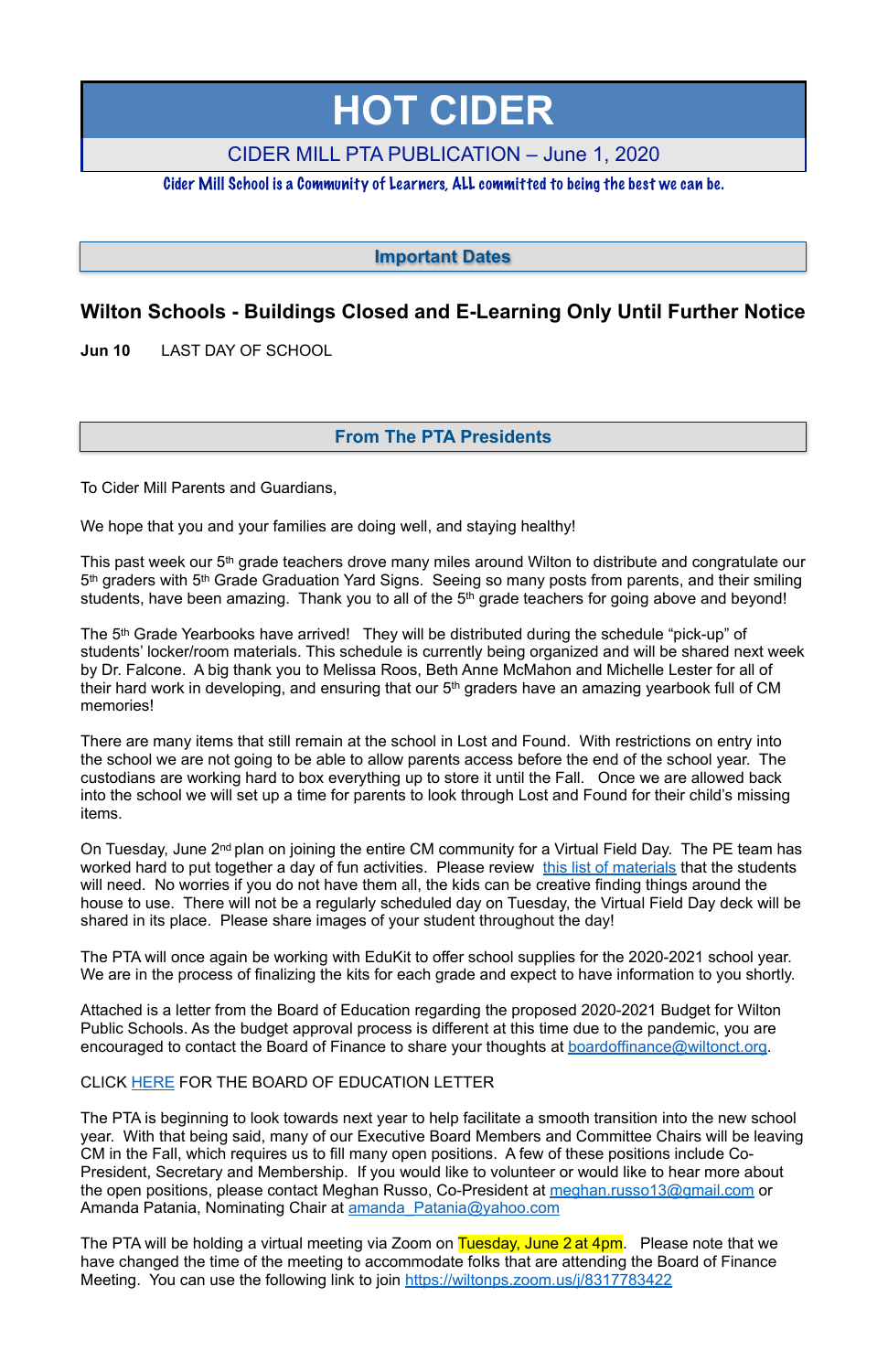# **Wilton Schools - Buildings Closed and E-Learning Only Until Further Notice**

**Jun 10** LAST DAY OF SCHOOL

This past week our 5th grade teachers drove many miles around Wilton to distribute and congratulate our 5<sup>th</sup> graders with 5<sup>th</sup> Grade Graduation Yard Signs. Seeing so many posts from parents, and their smiling students, have been amazing. Thank you to all of the 5<sup>th</sup> grade teachers for going above and beyond!

To Cider Mill Parents and Guardians,

We hope that you and your families are doing well, and staying healthy!

The 5th Grade Yearbooks have arrived! They will be distributed during the schedule "pick-up" of students' locker/room materials. This schedule is currently being organized and will be shared next week by Dr. Falcone. A big thank you to Melissa Roos, Beth Anne McMahon and Michelle Lester for all of their hard work in developing, and ensuring that our 5<sup>th</sup> graders have an amazing yearbook full of CM memories!

The PTA will once again be working with EduKit to offer school supplies for the 2020-2021 school year. We are in the process of finalizing the kits for each grade and expect to have information to you shortly.

Attached is a letter from the Board of Education regarding the proposed 2020-2021 Budget for Wilton Public Schools. As the budget approval process is different at this time due to the pandemic, you are encouraged to contact the Board of Finance to share your thoughts at [boardoffinance@wiltonct.org](mailto:boardoffinance@wiltonct.org).

There are many items that still remain at the school in Lost and Found. With restrictions on entry into the school we are not going to be able to allow parents access before the end of the school year. The custodians are working hard to box everything up to store it until the Fall. Once we are allowed back into the school we will set up a time for parents to look through Lost and Found for their child's missing items.

The PTA is beginning to look towards next year to help facilitate a smooth transition into the new school year. With that being said, many of our Executive Board Members and Committee Chairs will be leaving CM in the Fall, which requires us to fill many open positions. A few of these positions include Co-President, Secretary and Membership. If you would like to volunteer or would like to hear more about the open positions, please contact Meghan Russo, Co-President at [meghan.russo13@gmail.com](mailto:meghan.russo13@gmail.com) or Amanda Patania, Nominating Chair at amanda Patania@yahoo.com

On Tuesday, June 2nd plan on joining the entire CM community for a Virtual Field Day. The PE team has worked hard to put together a day of fun activities. Please review [this list of materials](https://docs.google.com/document/d/1xDwboSI6FdKoqf6rJVz5vxbKCnyNjzAeM9n9s5eXN5s/edit?usp=sharing) that the students will need. No worries if you do not have them all, the kids can be creative finding things around the house to use. There will not be a regularly scheduled day on Tuesday, the Virtual Field Day deck will be shared in its place. Please share images of your student throughout the day!

The PTA will be holding a virtual meeting via Zoom on Tuesday, June 2 at 4pm. Please note that we have changed the time of the meeting to accommodate folks that are attending the Board of Finance Meeting. You can use the following link to join [https://wiltonps.zoom.us/j/8317783422](https://www.google.com/url?q=https://wiltonps.zoom.us/j/8317783422&sa=D&usd=2&usg=AOvVaw2SYXVI7ohnoTBMIw0ZgAff)

#### CLICK HERE FOR THE BOARD OF EDUCATION LETTER

# **HOT CIDER**

# CIDER MILL PTA PUBLICATION – June 1, 2020

Cider Mill School is a Community of Learners, ALL committed to being the best we can be.

## **From The PTA Presidents**

**Important Dates**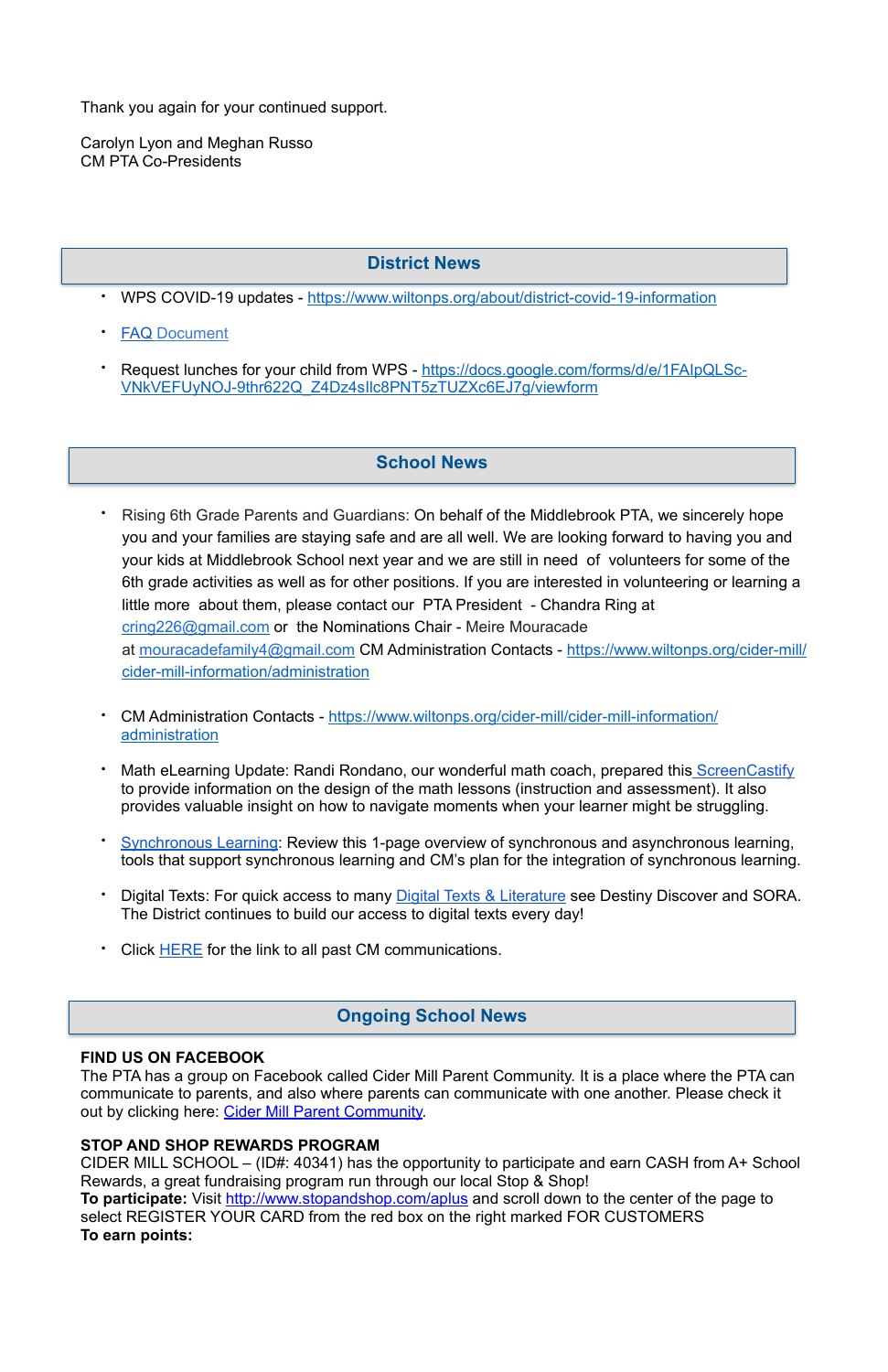Thank you again for your continued support.

Carolyn Lyon and Meghan Russo CM PTA Co-Presidents

- Rising 6th Grade Parents and Guardians: On behalf of the Middlebrook PTA, we sincerely hope you and your families are staying safe and are all well. We are looking forward to having you and your kids at Middlebrook School next year and we are still in need of volunteers for some of the 6th grade activities as well as for other positions. If you are interested in volunteering or learning a little more about them, please contact our PTA President - Chandra Ring at [cring226@gmail.com](mailto:cring226@gmail.com) or the Nominations Chair - Meire Mouracade at [mouracadefamily4@gmail.com](mailto:mouracadefamily4@gmail.com) CM Administration Contacts - [https://www.wiltonps.org/cider-mill/](https://www.wiltonps.org/cider-mill/cider-mill-information/administration) [cider-mill-information/administration](https://www.wiltonps.org/cider-mill/cider-mill-information/administration)
- CM Administration Contacts - [https://www.wiltonps.org/cider-mill/cider-mill-information/](https://www.wiltonps.org/cider-mill/cider-mill-information/administration) [administration](https://www.wiltonps.org/cider-mill/cider-mill-information/administration)
- Math eLearning Update: Randi Rondano, our wonderful math coach, prepared this [ScreenCastify](https://drive.google.com/file/d/16e1SGSmOedlCWW44ZeywbrczKWWz-R66/view?usp=sharing) to provide information on the design of the math lessons (instruction and assessment). It also provides valuable insight on how to navigate moments when your learner might be struggling.
- **[Synchronous Learning](https://docs.google.com/document/d/1bTP5uVO20Zg7M6W44iWt-QnbbCa1e3_zRGHqq-USUh8/edit?usp=sharing): Review this 1-page overview of synchronous and asynchronous learning,** tools that support synchronous learning and CM's plan for the integration of synchronous learning.
- Digital Texts: For quick access to many [Digital Texts & Literature](https://sites.google.com/wiltonps.org/planningforelearning/cider-mill?authuser=0) see Destiny Discover and SORA. The District continues to build our access to digital texts every day!
- Click **HERE** for the link to all past CM communications.
- WPS COVID-19 updates -<https://www.wiltonps.org/about/district-covid-19-information>
- **[FAQ](https://www.wiltonps.org/about/district-covid-19-information/wps-covid-19-faqs-clone) Document**
- Request lunches for your child from WPS - [https://docs.google.com/forms/d/e/1FAIpQLSc-](https://docs.google.com/forms/d/e/1FAIpQLSc-VNkVEFUyNOJ-9thr622Q_Z4Dz4sIlc8PNT5zTUZXc6EJ7g/viewform)[VNkVEFUyNOJ-9thr622Q\\_Z4Dz4sIlc8PNT5zTUZXc6EJ7g/viewform](https://docs.google.com/forms/d/e/1FAIpQLSc-VNkVEFUyNOJ-9thr622Q_Z4Dz4sIlc8PNT5zTUZXc6EJ7g/viewform)

#### **FIND US ON FACEBOOK**

The PTA has a group on Facebook called Cider Mill Parent Community. It is a place where the PTA can communicate to parents, and also where parents can communicate with one another. Please check it out by clicking here: [Cider Mill Parent Community.](https://www.facebook.com/groups/1168962513117647/)

#### **STOP AND SHOP REWARDS PROGRAM**

CIDER MILL SCHOOL – (ID#: 40341) has the opportunity to participate and earn CASH from A+ School Rewards, a great fundraising program run through our local Stop & Shop! **To participate:** Visit<http://www.stopandshop.com/aplus>and scroll down to the center of the page to select REGISTER YOUR CARD from the red box on the right marked FOR CUSTOMERS **To earn points:**

#### **Ongoing School News**

## **School News**

## **District News**